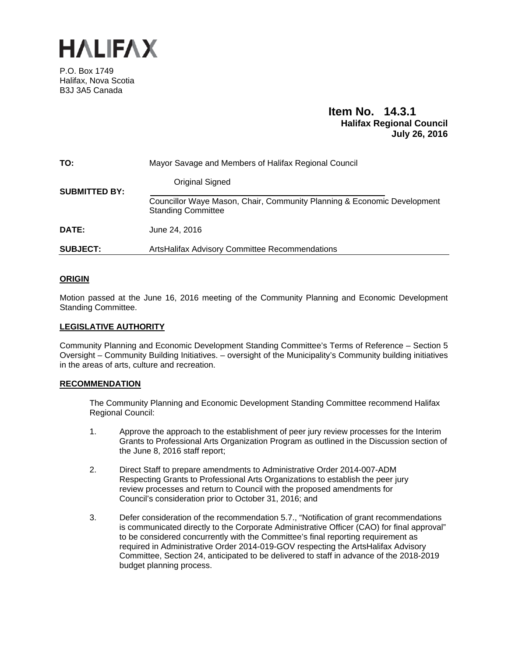

P.O. Box 1749 Halifax, Nova Scotia B3J 3A5 Canada

## **Item No. 14.3.1 Halifax Regional Council July 26, 2016**

| TO:                  | Mayor Savage and Members of Halifax Regional Council                                                 |
|----------------------|------------------------------------------------------------------------------------------------------|
| <b>SUBMITTED BY:</b> | Original Signed                                                                                      |
|                      | Councillor Waye Mason, Chair, Community Planning & Economic Development<br><b>Standing Committee</b> |
| DATE:                | June 24, 2016                                                                                        |
| <b>SUBJECT:</b>      | ArtsHalifax Advisory Committee Recommendations                                                       |

### **ORIGIN**

Motion passed at the June 16, 2016 meeting of the Community Planning and Economic Development Standing Committee.

### **LEGISLATIVE AUTHORITY**

Community Planning and Economic Development Standing Committee's Terms of Reference – Section 5 Oversight – Community Building Initiatives. – oversight of the Municipality's Community building initiatives in the areas of arts, culture and recreation.

### **RECOMMENDATION**

The Community Planning and Economic Development Standing Committee recommend Halifax Regional Council:

- 1. Approve the approach to the establishment of peer jury review processes for the Interim Grants to Professional Arts Organization Program as outlined in the Discussion section of the June 8, 2016 staff report;
- 2. Direct Staff to prepare amendments to Administrative Order 2014-007-ADM Respecting Grants to Professional Arts Organizations to establish the peer jury review processes and return to Council with the proposed amendments for Council's consideration prior to October 31, 2016; and
- 3. Defer consideration of the recommendation 5.7., "Notification of grant recommendations is communicated directly to the Corporate Administrative Officer (CAO) for final approval" to be considered concurrently with the Committee's final reporting requirement as required in Administrative Order 2014-019-GOV respecting the ArtsHalifax Advisory Committee, Section 24, anticipated to be delivered to staff in advance of the 2018-2019 budget planning process.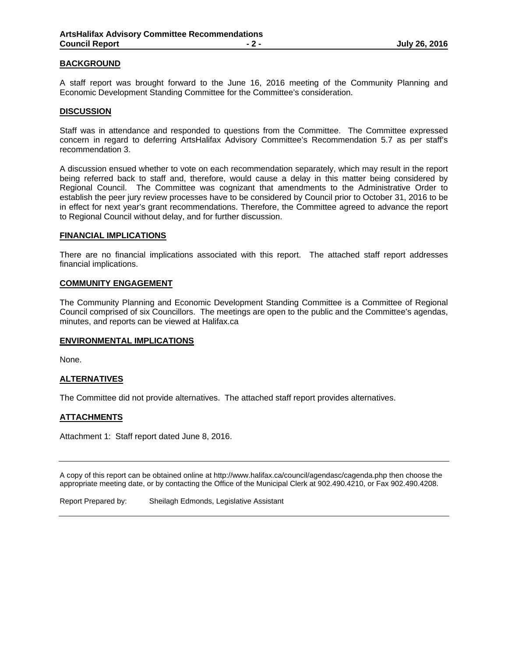#### **BACKGROUND**

A staff report was brought forward to the June 16, 2016 meeting of the Community Planning and Economic Development Standing Committee for the Committee's consideration.

#### **DISCUSSION**

Staff was in attendance and responded to questions from the Committee. The Committee expressed concern in regard to deferring ArtsHalifax Advisory Committee's Recommendation 5.7 as per staff's recommendation 3.

A discussion ensued whether to vote on each recommendation separately, which may result in the report being referred back to staff and, therefore, would cause a delay in this matter being considered by Regional Council. The Committee was cognizant that amendments to the Administrative Order to establish the peer jury review processes have to be considered by Council prior to October 31, 2016 to be in effect for next year's grant recommendations. Therefore, the Committee agreed to advance the report to Regional Council without delay, and for further discussion.

#### **FINANCIAL IMPLICATIONS**

There are no financial implications associated with this report. The attached staff report addresses financial implications.

#### **COMMUNITY ENGAGEMENT**

The Community Planning and Economic Development Standing Committee is a Committee of Regional Council comprised of six Councillors. The meetings are open to the public and the Committee's agendas, minutes, and reports can be viewed at Halifax.ca

#### **ENVIRONMENTAL IMPLICATIONS**

None.

#### **ALTERNATIVES**

The Committee did not provide alternatives. The attached staff report provides alternatives.

#### **ATTACHMENTS**

Attachment 1: Staff report dated June 8, 2016.

A copy of this report can be obtained online at http://www.halifax.ca/council/agendasc/cagenda.php then choose the appropriate meeting date, or by contacting the Office of the Municipal Clerk at 902.490.4210, or Fax 902.490.4208.

Report Prepared by: Sheilagh Edmonds, Legislative Assistant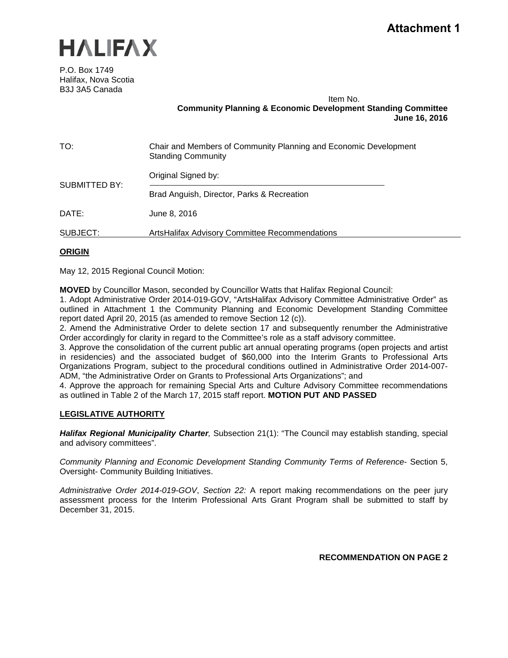

P.O. Box 1749 Halifax, Nova Scotia B3J 3A5 Canada

Item No.

**Community Planning & Economic Development Standing Committee June 16, 2016**

| TO:                  | Chair and Members of Community Planning and Economic Development<br><b>Standing Community</b> |
|----------------------|-----------------------------------------------------------------------------------------------|
|                      | Original Signed by:                                                                           |
| <b>SUBMITTED BY:</b> | Brad Anguish, Director, Parks & Recreation                                                    |
| DATE:                | June 8, 2016                                                                                  |
| SUBJECT:             | ArtsHalifax Advisory Committee Recommendations                                                |

### **ORIGIN**

May 12, 2015 Regional Council Motion:

**MOVED** by Councillor Mason, seconded by Councillor Watts that Halifax Regional Council:

1. Adopt Administrative Order 2014-019-GOV, "ArtsHalifax Advisory Committee Administrative Order" as outlined in Attachment 1 the Community Planning and Economic Development Standing Committee report dated April 20, 2015 (as amended to remove Section 12 (c)).

2. Amend the Administrative Order to delete section 17 and subsequently renumber the Administrative Order accordingly for clarity in regard to the Committee's role as a staff advisory committee.

3. Approve the consolidation of the current public art annual operating programs (open projects and artist in residencies) and the associated budget of \$60,000 into the Interim Grants to Professional Arts Organizations Program, subject to the procedural conditions outlined in Administrative Order 2014-007- ADM, "the Administrative Order on Grants to Professional Arts Organizations"; and

4. Approve the approach for remaining Special Arts and Culture Advisory Committee recommendations as outlined in Table 2 of the March 17, 2015 staff report. **MOTION PUT AND PASSED**

### **LEGISLATIVE AUTHORITY**

*Halifax Regional Municipality Charter,* Subsection 21(1): "The Council may establish standing, special and advisory committees".

*Community Planning and Economic Development Standing Community Terms of Reference*- Section 5, Oversight- Community Building Initiatives.

*Administrative Order 2014-019-GOV*, *Section 22:* A report making recommendations on the peer jury assessment process for the Interim Professional Arts Grant Program shall be submitted to staff by December 31, 2015.

**RECOMMENDATION ON PAGE 2**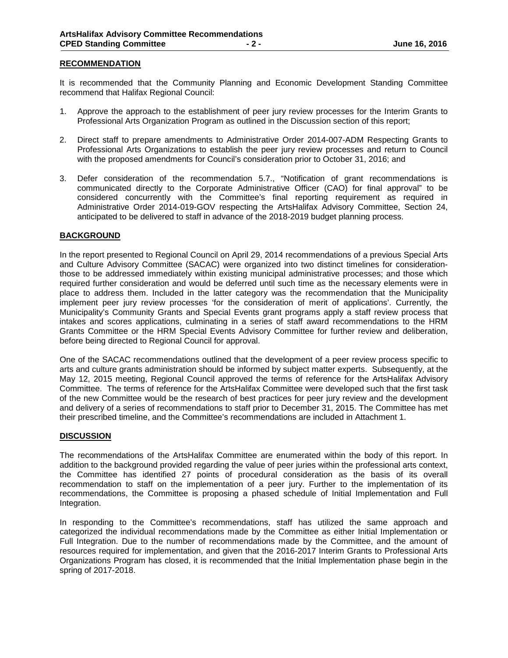#### **RECOMMENDATION**

It is recommended that the Community Planning and Economic Development Standing Committee recommend that Halifax Regional Council:

- 1. Approve the approach to the establishment of peer jury review processes for the Interim Grants to Professional Arts Organization Program as outlined in the Discussion section of this report;
- 2. Direct staff to prepare amendments to Administrative Order 2014-007-ADM Respecting Grants to Professional Arts Organizations to establish the peer jury review processes and return to Council with the proposed amendments for Council's consideration prior to October 31, 2016; and
- 3. Defer consideration of the recommendation 5.7., "Notification of grant recommendations is communicated directly to the Corporate Administrative Officer (CAO) for final approval" to be considered concurrently with the Committee's final reporting requirement as required in Administrative Order 2014-019-GOV respecting the ArtsHalifax Advisory Committee, Section 24, anticipated to be delivered to staff in advance of the 2018-2019 budget planning process.

### **BACKGROUND**

In the report presented to Regional Council on April 29, 2014 recommendations of a previous Special Arts and Culture Advisory Committee (SACAC) were organized into two distinct timelines for considerationthose to be addressed immediately within existing municipal administrative processes; and those which required further consideration and would be deferred until such time as the necessary elements were in place to address them. Included in the latter category was the recommendation that the Municipality implement peer jury review processes 'for the consideration of merit of applications'. Currently, the Municipality's Community Grants and Special Events grant programs apply a staff review process that intakes and scores applications, culminating in a series of staff award recommendations to the HRM Grants Committee or the HRM Special Events Advisory Committee for further review and deliberation, before being directed to Regional Council for approval.

One of the SACAC recommendations outlined that the development of a peer review process specific to arts and culture grants administration should be informed by subject matter experts. Subsequently, at the May 12, 2015 meeting, Regional Council approved the terms of reference for the ArtsHalifax Advisory Committee. The terms of reference for the ArtsHalifax Committee were developed such that the first task of the new Committee would be the research of best practices for peer jury review and the development and delivery of a series of recommendations to staff prior to December 31, 2015. The Committee has met their prescribed timeline, and the Committee's recommendations are included in Attachment 1.

#### **DISCUSSION**

The recommendations of the ArtsHalifax Committee are enumerated within the body of this report. In addition to the background provided regarding the value of peer juries within the professional arts context, the Committee has identified 27 points of procedural consideration as the basis of its overall recommendation to staff on the implementation of a peer jury. Further to the implementation of its recommendations, the Committee is proposing a phased schedule of Initial Implementation and Full Integration.

In responding to the Committee's recommendations, staff has utilized the same approach and categorized the individual recommendations made by the Committee as either Initial Implementation or Full Integration. Due to the number of recommendations made by the Committee, and the amount of resources required for implementation, and given that the 2016-2017 Interim Grants to Professional Arts Organizations Program has closed, it is recommended that the Initial Implementation phase begin in the spring of 2017-2018.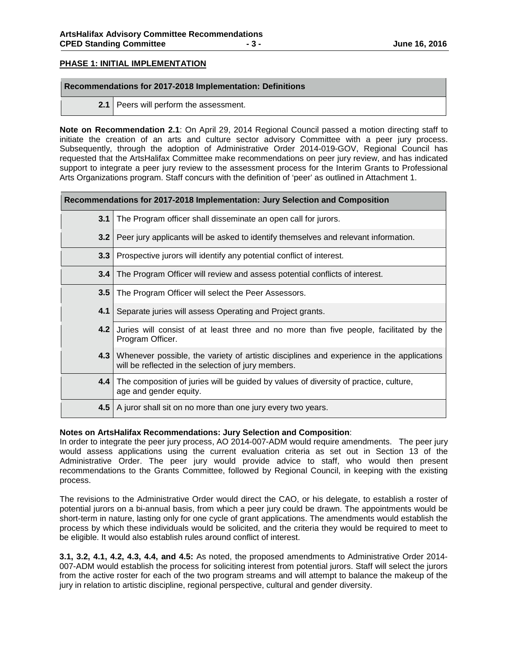### **PHASE 1: INITIAL IMPLEMENTATION**

#### **Recommendations for 2017-2018 Implementation: Definitions**

**2.1** Peers will perform the assessment.

**Note on Recommendation 2.1**: On April 29, 2014 Regional Council passed a motion directing staff to initiate the creation of an arts and culture sector advisory Committee with a peer jury process. Subsequently, through the adoption of Administrative Order 2014-019-GOV, Regional Council has requested that the ArtsHalifax Committee make recommendations on peer jury review, and has indicated support to integrate a peer jury review to the assessment process for the Interim Grants to Professional Arts Organizations program. Staff concurs with the definition of 'peer' as outlined in Attachment 1.

| Recommendations for 2017-2018 Implementation: Jury Selection and Composition |                                                                                                                                                  |
|------------------------------------------------------------------------------|--------------------------------------------------------------------------------------------------------------------------------------------------|
| 3.1                                                                          | The Program officer shall disseminate an open call for jurors.                                                                                   |
| 3.2                                                                          | Peer jury applicants will be asked to identify themselves and relevant information.                                                              |
| 3.3                                                                          | Prospective jurors will identify any potential conflict of interest.                                                                             |
| 3.4                                                                          | The Program Officer will review and assess potential conflicts of interest.                                                                      |
| 3.5                                                                          | The Program Officer will select the Peer Assessors.                                                                                              |
| 4.1                                                                          | Separate juries will assess Operating and Project grants.                                                                                        |
| 4.2                                                                          | Juries will consist of at least three and no more than five people, facilitated by the<br>Program Officer.                                       |
| $4.3 \mid$                                                                   | Whenever possible, the variety of artistic disciplines and experience in the applications<br>will be reflected in the selection of jury members. |
| 4.4                                                                          | The composition of juries will be guided by values of diversity of practice, culture,<br>age and gender equity.                                  |
| 4.5                                                                          | A juror shall sit on no more than one jury every two years.                                                                                      |

#### **Notes on ArtsHalifax Recommendations: Jury Selection and Composition**:

In order to integrate the peer jury process, AO 2014-007-ADM would require amendments. The peer jury would assess applications using the current evaluation criteria as set out in Section 13 of the Administrative Order. The peer jury would provide advice to staff, who would then present recommendations to the Grants Committee, followed by Regional Council, in keeping with the existing process.

The revisions to the Administrative Order would direct the CAO, or his delegate, to establish a roster of potential jurors on a bi-annual basis, from which a peer jury could be drawn. The appointments would be short-term in nature, lasting only for one cycle of grant applications. The amendments would establish the process by which these individuals would be solicited, and the criteria they would be required to meet to be eligible. It would also establish rules around conflict of interest.

**3.1, 3.2, 4.1, 4.2, 4.3, 4.4, and 4.5:** As noted, the proposed amendments to Administrative Order 2014- 007-ADM would establish the process for soliciting interest from potential jurors. Staff will select the jurors from the active roster for each of the two program streams and will attempt to balance the makeup of the jury in relation to artistic discipline, regional perspective, cultural and gender diversity.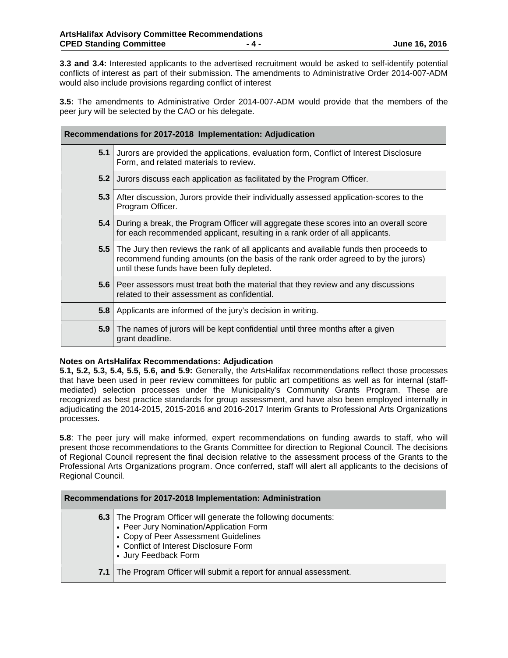**3.3 and 3.4:** Interested applicants to the advertised recruitment would be asked to self-identify potential conflicts of interest as part of their submission. The amendments to Administrative Order 2014-007-ADM would also include provisions regarding conflict of interest

**3.5:** The amendments to Administrative Order 2014-007-ADM would provide that the members of the peer jury will be selected by the CAO or his delegate.

| Recommendations for 2017-2018 Implementation: Adjudication |                                                                                                                                                                                                                            |
|------------------------------------------------------------|----------------------------------------------------------------------------------------------------------------------------------------------------------------------------------------------------------------------------|
| 5.1                                                        | Jurors are provided the applications, evaluation form, Conflict of Interest Disclosure<br>Form, and related materials to review.                                                                                           |
| 5.2                                                        | Jurors discuss each application as facilitated by the Program Officer.                                                                                                                                                     |
| 5.3                                                        | After discussion, Jurors provide their individually assessed application-scores to the<br>Program Officer.                                                                                                                 |
| 5.4                                                        | During a break, the Program Officer will aggregate these scores into an overall score<br>for each recommended applicant, resulting in a rank order of all applicants.                                                      |
| 5.5                                                        | The Jury then reviews the rank of all applicants and available funds then proceeds to<br>recommend funding amounts (on the basis of the rank order agreed to by the jurors)<br>until these funds have been fully depleted. |
|                                                            | 5.6 Peer assessors must treat both the material that they review and any discussions<br>related to their assessment as confidential.                                                                                       |
| 5.8                                                        | Applicants are informed of the jury's decision in writing.                                                                                                                                                                 |
| 5.9                                                        | The names of jurors will be kept confidential until three months after a given<br>grant deadline.                                                                                                                          |

### **Notes on ArtsHalifax Recommendations: Adjudication**

**5.1, 5.2, 5.3, 5.4, 5.5, 5.6, and 5.9:** Generally, the ArtsHalifax recommendations reflect those processes that have been used in peer review committees for public art competitions as well as for internal (staffmediated) selection processes under the Municipality's Community Grants Program. These are recognized as best practice standards for group assessment, and have also been employed internally in adjudicating the 2014-2015, 2015-2016 and 2016-2017 Interim Grants to Professional Arts Organizations processes.

**5.8**: The peer jury will make informed, expert recommendations on funding awards to staff, who will present those recommendations to the Grants Committee for direction to Regional Council. The decisions of Regional Council represent the final decision relative to the assessment process of the Grants to the Professional Arts Organizations program. Once conferred, staff will alert all applicants to the decisions of Regional Council.

| Recommendations for 2017-2018 Implementation: Administration |                                                                                                                                                                                                                            |  |
|--------------------------------------------------------------|----------------------------------------------------------------------------------------------------------------------------------------------------------------------------------------------------------------------------|--|
|                                                              | <b>6.3</b> The Program Officer will generate the following documents:<br>• Peer Jury Nomination/Application Form<br>• Copy of Peer Assessment Guidelines<br>• Conflict of Interest Disclosure Form<br>• Jury Feedback Form |  |
|                                                              | 7.1 The Program Officer will submit a report for annual assessment.                                                                                                                                                        |  |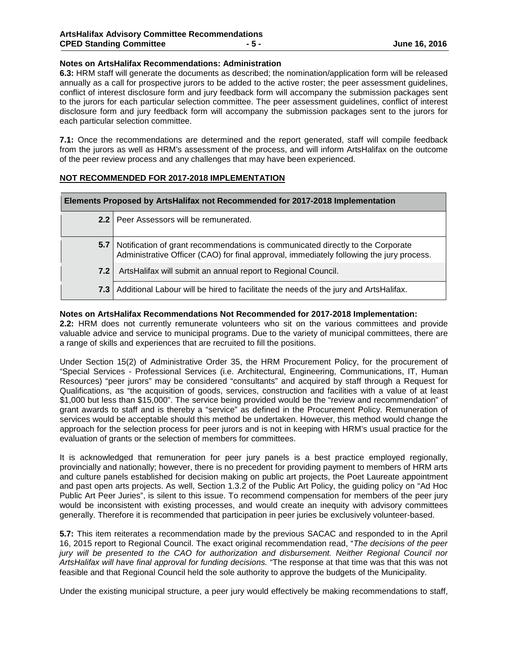### **Notes on ArtsHalifax Recommendations: Administration**

**6.3:** HRM staff will generate the documents as described; the nomination/application form will be released annually as a call for prospective jurors to be added to the active roster; the peer assessment guidelines, conflict of interest disclosure form and jury feedback form will accompany the submission packages sent to the jurors for each particular selection committee. The peer assessment guidelines, conflict of interest disclosure form and jury feedback form will accompany the submission packages sent to the jurors for each particular selection committee.

**7.1:** Once the recommendations are determined and the report generated, staff will compile feedback from the jurors as well as HRM's assessment of the process, and will inform ArtsHalifax on the outcome of the peer review process and any challenges that may have been experienced.

### **NOT RECOMMENDED FOR 2017-2018 IMPLEMENTATION**

| Elements Proposed by ArtsHalifax not Recommended for 2017-2018 Implementation |                                                                                                                                                                                 |  |
|-------------------------------------------------------------------------------|---------------------------------------------------------------------------------------------------------------------------------------------------------------------------------|--|
|                                                                               | 2.2   Peer Assessors will be remunerated.                                                                                                                                       |  |
|                                                                               | 5.7 Notification of grant recommendations is communicated directly to the Corporate<br>Administrative Officer (CAO) for final approval, immediately following the jury process. |  |
| 7.2 <sub>1</sub>                                                              | ArtsHalifax will submit an annual report to Regional Council.                                                                                                                   |  |
|                                                                               | 7.3 Additional Labour will be hired to facilitate the needs of the jury and ArtsHalifax.                                                                                        |  |

#### **Notes on ArtsHalifax Recommendations Not Recommended for 2017-2018 Implementation:**

**2.2:** HRM does not currently remunerate volunteers who sit on the various committees and provide valuable advice and service to municipal programs. Due to the variety of municipal committees, there are a range of skills and experiences that are recruited to fill the positions.

Under Section 15(2) of Administrative Order 35, the HRM Procurement Policy, for the procurement of "Special Services - Professional Services (i.e. Architectural, Engineering, Communications, IT, Human Resources) "peer jurors" may be considered "consultants" and acquired by staff through a Request for Qualifications, as "the acquisition of goods, services, construction and facilities with a value of at least \$1,000 but less than \$15,000". The service being provided would be the "review and recommendation" of grant awards to staff and is thereby a "service" as defined in the Procurement Policy. Remuneration of services would be acceptable should this method be undertaken. However, this method would change the approach for the selection process for peer jurors and is not in keeping with HRM's usual practice for the evaluation of grants or the selection of members for committees.

It is acknowledged that remuneration for peer jury panels is a best practice employed regionally, provincially and nationally; however, there is no precedent for providing payment to members of HRM arts and culture panels established for decision making on public art projects, the Poet Laureate appointment and past open arts projects. As well, Section 1.3.2 of the Public Art Policy, the guiding policy on "Ad Hoc Public Art Peer Juries", is silent to this issue. To recommend compensation for members of the peer jury would be inconsistent with existing processes, and would create an inequity with advisory committees generally. Therefore it is recommended that participation in peer juries be exclusively volunteer-based.

**5.7:** This item reiterates a recommendation made by the previous SACAC and responded to in the April 16, 2015 report to Regional Council. The exact original recommendation read, "*The decisions of the peer jury will be presented to the CAO for authorization and disbursement. Neither Regional Council nor ArtsHalifax will have final approval for funding decisions.* "The response at that time was that this was not feasible and that Regional Council held the sole authority to approve the budgets of the Municipality.

Under the existing municipal structure, a peer jury would effectively be making recommendations to staff,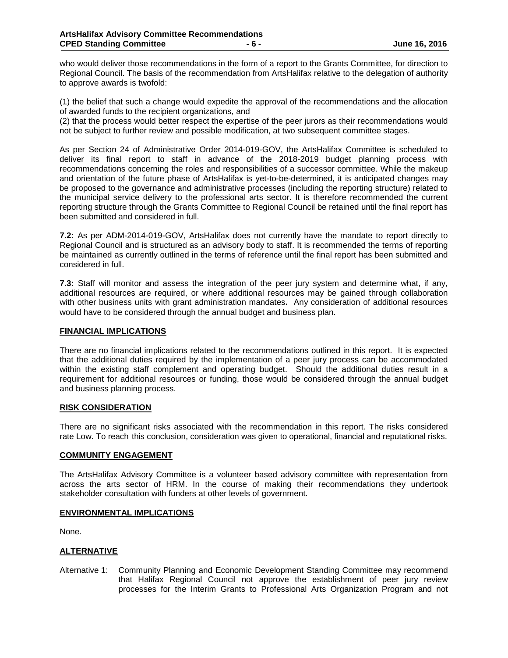who would deliver those recommendations in the form of a report to the Grants Committee, for direction to Regional Council. The basis of the recommendation from ArtsHalifax relative to the delegation of authority to approve awards is twofold:

(1) the belief that such a change would expedite the approval of the recommendations and the allocation of awarded funds to the recipient organizations, and

(2) that the process would better respect the expertise of the peer jurors as their recommendations would not be subject to further review and possible modification, at two subsequent committee stages.

As per Section 24 of Administrative Order 2014-019-GOV, the ArtsHalifax Committee is scheduled to deliver its final report to staff in advance of the 2018-2019 budget planning process with recommendations concerning the roles and responsibilities of a successor committee. While the makeup and orientation of the future phase of ArtsHalifax is yet-to-be-determined, it is anticipated changes may be proposed to the governance and administrative processes (including the reporting structure) related to the municipal service delivery to the professional arts sector. It is therefore recommended the current reporting structure through the Grants Committee to Regional Council be retained until the final report has been submitted and considered in full.

**7.2:** As per ADM-2014-019-GOV, ArtsHalifax does not currently have the mandate to report directly to Regional Council and is structured as an advisory body to staff. It is recommended the terms of reporting be maintained as currently outlined in the terms of reference until the final report has been submitted and considered in full.

**7.3:** Staff will monitor and assess the integration of the peer jury system and determine what, if any, additional resources are required, or where additional resources may be gained through collaboration with other business units with grant administration mandates**.** Any consideration of additional resources would have to be considered through the annual budget and business plan.

#### **FINANCIAL IMPLICATIONS**

There are no financial implications related to the recommendations outlined in this report. It is expected that the additional duties required by the implementation of a peer jury process can be accommodated within the existing staff complement and operating budget. Should the additional duties result in a requirement for additional resources or funding, those would be considered through the annual budget and business planning process.

#### **RISK CONSIDERATION**

There are no significant risks associated with the recommendation in this report. The risks considered rate Low. To reach this conclusion, consideration was given to operational, financial and reputational risks.

### **COMMUNITY ENGAGEMENT**

The ArtsHalifax Advisory Committee is a volunteer based advisory committee with representation from across the arts sector of HRM. In the course of making their recommendations they undertook stakeholder consultation with funders at other levels of government.

#### **ENVIRONMENTAL IMPLICATIONS**

None.

### **ALTERNATIVE**

Alternative 1: Community Planning and Economic Development Standing Committee may recommend that Halifax Regional Council not approve the establishment of peer jury review processes for the Interim Grants to Professional Arts Organization Program and not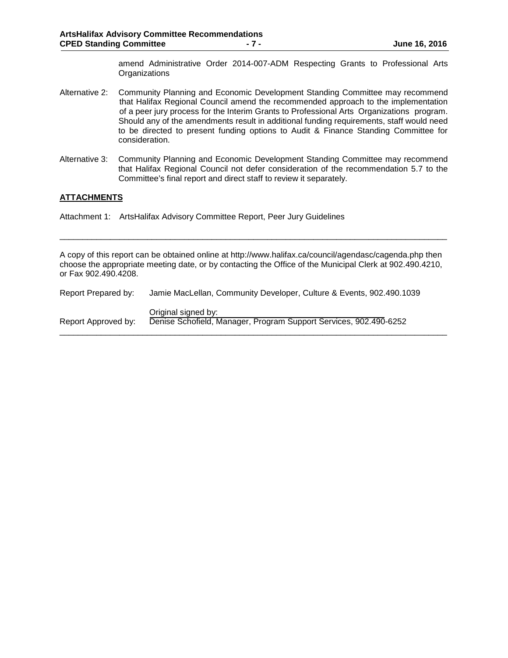amend Administrative Order 2014-007-ADM Respecting Grants to Professional Arts **Organizations** 

- Alternative 2: Community Planning and Economic Development Standing Committee may recommend that Halifax Regional Council amend the recommended approach to the implementation of a peer jury process for the Interim Grants to Professional Arts Organizations program. Should any of the amendments result in additional funding requirements, staff would need to be directed to present funding options to Audit & Finance Standing Committee for consideration.
- Alternative 3: Community Planning and Economic Development Standing Committee may recommend that Halifax Regional Council not defer consideration of the recommendation 5.7 to the Committee's final report and direct staff to review it separately.

### **ATTACHMENTS**

Attachment 1: ArtsHalifax Advisory Committee Report, Peer Jury Guidelines

A copy of this report can be obtained online at http://www.halifax.ca/council/agendasc/cagenda.php then choose the appropriate meeting date, or by contacting the Office of the Municipal Clerk at 902.490.4210, or Fax 902.490.4208.

\_\_\_\_\_\_\_\_\_\_\_\_\_\_\_\_\_\_\_\_\_\_\_\_\_\_\_\_\_\_\_\_\_\_\_\_\_\_\_\_\_\_\_\_\_\_\_\_\_\_\_\_\_\_\_\_\_\_\_\_\_\_\_\_\_\_\_\_\_\_\_\_\_\_\_\_\_\_\_\_\_\_\_\_

| Report Prepared by: | Jamie MacLellan, Community Developer, Culture & Events, 902.490.1039                     |
|---------------------|------------------------------------------------------------------------------------------|
| Report Approved by: | Original signed by:<br>Denise Schofield, Manager, Program Support Services, 902.490-6252 |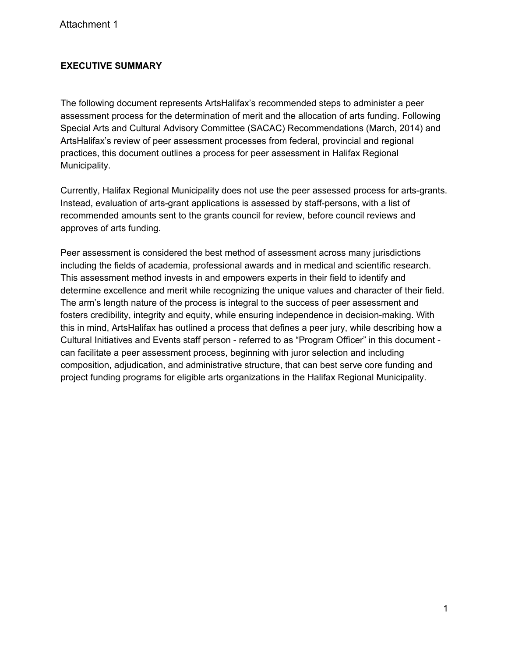# **EXECUTIVE SUMMARY**

The following document represents ArtsHalifax's recommended steps to administer a peer assessment process for the determination of merit and the allocation of arts funding. Following Special Arts and Cultural Advisory Committee (SACAC) Recommendations (March, 2014) and ArtsHalifax's review of peer assessment processes from federal, provincial and regional practices, this document outlines a process for peer assessment in Halifax Regional Municipality.

Currently, Halifax Regional Municipality does not use the peer assessed process for arts-grants. Instead, evaluation of arts-grant applications is assessed by staff-persons, with a list of recommended amounts sent to the grants council for review, before council reviews and approves of arts funding.

Peer assessment is considered the best method of assessment across many jurisdictions including the fields of academia, professional awards and in medical and scientific research. This assessment method invests in and empowers experts in their field to identify and determine excellence and merit while recognizing the unique values and character of their field. The arm's length nature of the process is integral to the success of peer assessment and fosters credibility, integrity and equity, while ensuring independence in decision-making. With this in mind, ArtsHalifax has outlined a process that defines a peer jury, while describing how a Cultural Initiatives and Events staff person - referred to as "Program Officer" in this document can facilitate a peer assessment process, beginning with juror selection and including composition, adjudication, and administrative structure, that can best serve core funding and project funding programs for eligible arts organizations in the Halifax Regional Municipality.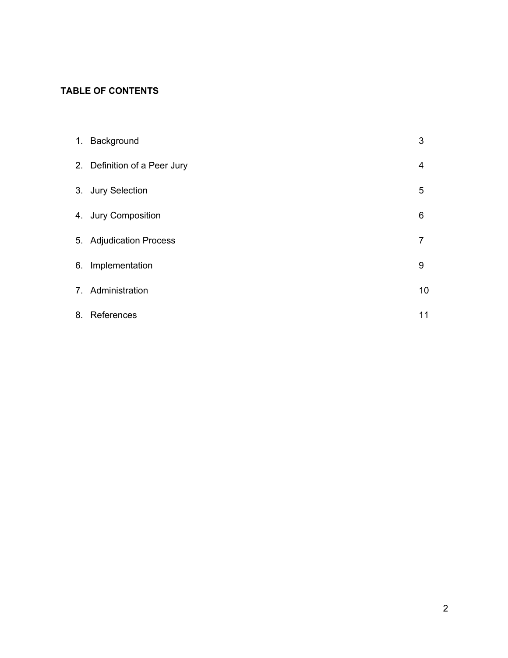# **TABLE OF CONTENTS**

| 1. Background                | 3  |
|------------------------------|----|
| 2. Definition of a Peer Jury | 4  |
| 3. Jury Selection            | 5  |
| 4. Jury Composition          | 6  |
| 5. Adjudication Process      | 7  |
| 6. Implementation            | 9  |
| 7. Administration            | 10 |
| 8. References                | 11 |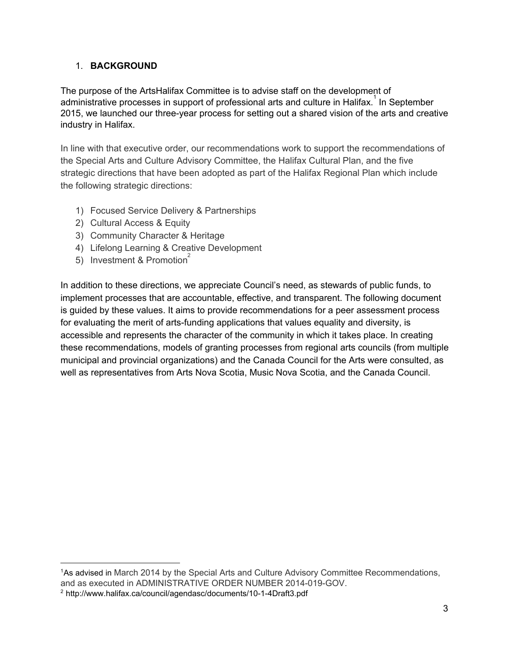# 1. **BACKGROUND**

The purpose of the ArtsHalifax Committee is to advise staff on the development of administrative processes in support of professional arts and culture in Halifax.<sup>1</sup> In September 2015, we launched our three-year process for setting out a shared vision of the arts and creative industry in Halifax.

In line with that executive order, our recommendations work to support the recommendations of the Special Arts and Culture Advisory Committee, the Halifax Cultural Plan, and the five strategic directions that have been adopted as part of the Halifax Regional Plan which include the following strategic directions:

- 1) Focused Service Delivery & Partnerships
- 2) Cultural Access & Equity
- 3) Community Character & Heritage
- 4) Lifelong Learning & Creative Development
- 5) Investment & Promotion<sup>2</sup>

In addition to these directions, we appreciate Council's need, as stewards of public funds, to implement processes that are accountable, effective, and transparent. The following document is guided by these values. It aims to provide recommendations for a peer assessment process for evaluating the merit of arts-funding applications that values equality and diversity, is accessible and represents the character of the community in which it takes place. In creating these recommendations, models of granting processes from regional arts councils (from multiple municipal and provincial organizations) and the Canada Council for the Arts were consulted, as well as representatives from Arts Nova Scotia, Music Nova Scotia, and the Canada Council.

<sup>1</sup>As advised in March 2014 by the Special Arts and Culture Advisory Committee Recommendations, and as executed in ADMINISTRATIVE ORDER NUMBER 2014-019-GOV.

<sup>2</sup> http://www.halifax.ca/council/agendasc/documents/10-1-4Draft3.pdf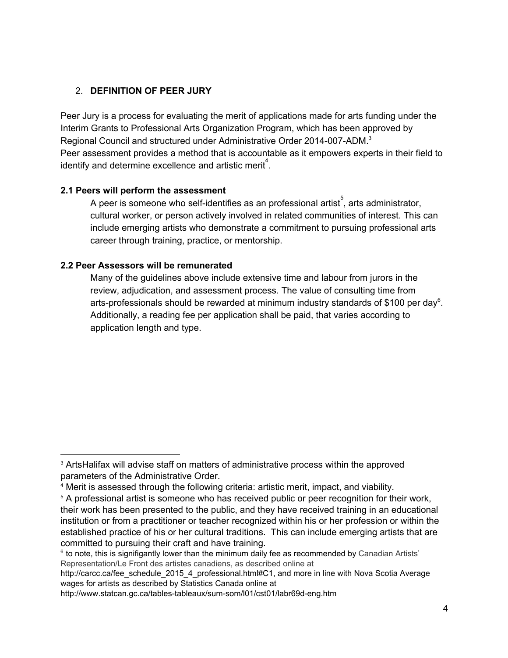# 2. **DEFINITION OF PEER JURY**

Peer Jury is a process for evaluating the merit of applications made for arts funding under the Interim Grants to Professional Arts Organization Program, which has been approved by Regional Council and structured under Administrative Order 2014-007-ADM.<sup>3</sup> Peer assessment provides a method that is accountable as it empowers experts in their field to identify and determine excellence and artistic merit<sup>4</sup>.

## **2.1 Peers will perform the assessment**

A peer is someone who self-identifies as an professional artist, arts administrator, cultural worker, or person actively involved in related communities of interest. This can include emerging artists who demonstrate a commitment to pursuing professional arts career through training, practice, or mentorship.

## **2.2 Peer Assessors will be remunerated**

Many of the guidelines above include extensive time and labour from jurors in the review, adjudication, and assessment process. The value of consulting time from arts-professionals should be rewarded at minimum industry standards of \$100 per day<sup>6</sup>. Additionally, a reading fee per application shall be paid, that varies according to application length and type.

<sup>3</sup> ArtsHalifax will advise staff on matters of administrative process within the approved parameters of the Administrative Order.

<sup>4</sup> Merit is assessed through the following criteria: artistic merit, impact, and viability.

<sup>&</sup>lt;sup>5</sup> A professional artist is someone who has received public or peer recognition for their work, their work has been presented to the public, and they have received training in an educational institution or from a practitioner or teacher recognized within his or her profession or within the established practice of his or her cultural traditions. This can include emerging artists that are committed to pursuing their craft and have training.

 $6$  to note, this is signifigantly lower than the minimum daily fee as recommended by Canadian Artists' Representation/Le Front des artistes canadiens, as described online at

http://carcc.ca/fee\_schedule\_2015\_4\_professional.html#C1, and more in line with Nova Scotia Average wages for artists as described by Statistics Canada online at

http://www.statcan.gc.ca/tables-tableaux/sum-som/l01/cst01/labr69d-eng.htm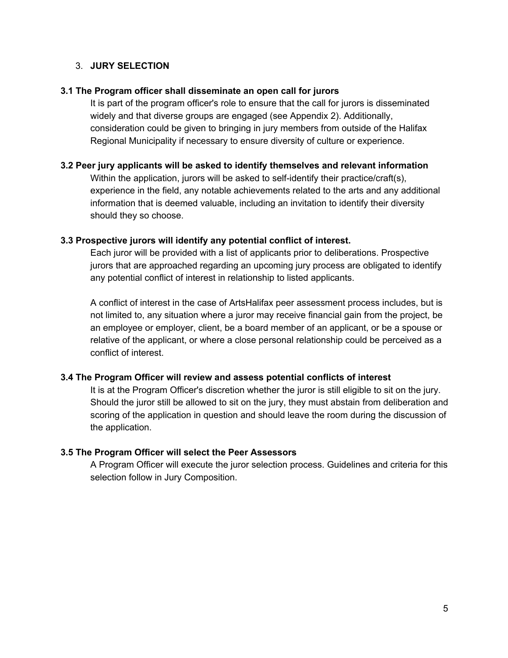## 3. **JURY SELECTION**

## **3.1 The Program officer shall disseminate an open call for jurors**

It is part of the program officer's role to ensure that the call for jurors is disseminated widely and that diverse groups are engaged (see Appendix 2). Additionally, consideration could be given to bringing in jury members from outside of the Halifax Regional Municipality if necessary to ensure diversity of culture or experience.

### **3.2 Peer jury applicants will be asked to identify themselves and relevant information**

Within the application, jurors will be asked to self-identify their practice/craft(s), experience in the field, any notable achievements related to the arts and any additional information that is deemed valuable, including an invitation to identify their diversity should they so choose.

## **3.3 Prospective jurors will identify any potential conflict of interest.**

Each juror will be provided with a list of applicants prior to deliberations. Prospective jurors that are approached regarding an upcoming jury process are obligated to identify any potential conflict of interest in relationship to listed applicants.

A conflict of interest in the case of ArtsHalifax peer assessment process includes, but is not limited to, any situation where a juror may receive financial gain from the project, be an employee or employer, client, be a board member of an applicant, or be a spouse or relative of the applicant, or where a close personal relationship could be perceived as a conflict of interest.

## **3.4 The Program Officer will review and assess potential conflicts of interest**

It is at the Program Officer's discretion whether the juror is still eligible to sit on the jury. Should the juror still be allowed to sit on the jury, they must abstain from deliberation and scoring of the application in question and should leave the room during the discussion of the application.

## **3.5 The Program Officer will select the Peer Assessors**

A Program Officer will execute the juror selection process. Guidelines and criteria for this selection follow in Jury Composition.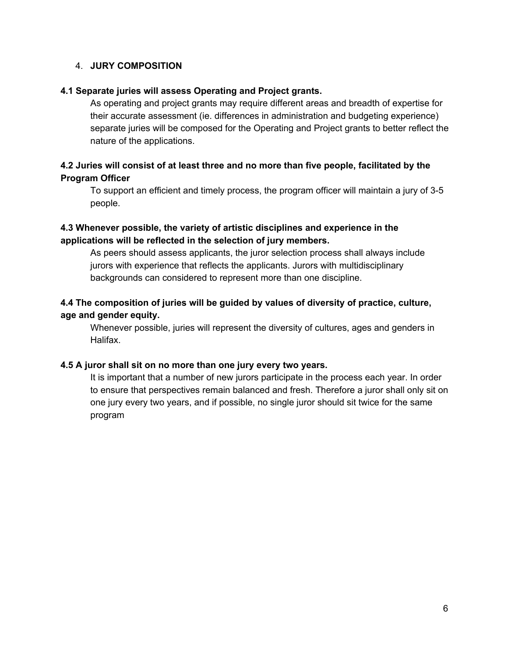## 4. **JURY COMPOSITION**

## **4.1 Separate juries will assess Operating and Project grants.**

As operating and project grants may require different areas and breadth of expertise for their accurate assessment (ie. differences in administration and budgeting experience) separate juries will be composed for the Operating and Project grants to better reflect the nature of the applications.

## **4.2 Juries will consist of at least three and no more than five people, facilitated by the Program Officer**

To support an efficient and timely process, the program officer will maintain a jury of 3-5 people.

# **4.3 Whenever possible, the variety of artistic disciplines and experience in the applications will be reflected in the selection of jury members.**

As peers should assess applicants, the juror selection process shall always include jurors with experience that reflects the applicants. Jurors with multidisciplinary backgrounds can considered to represent more than one discipline.

# **4.4 The composition of juries will be guided by values of diversity of practice, culture, age and gender equity.**

Whenever possible, juries will represent the diversity of cultures, ages and genders in Halifax.

## **4.5 A juror shall sit on no more than one jury every two years.**

It is important that a number of new jurors participate in the process each year. In order to ensure that perspectives remain balanced and fresh. Therefore a juror shall only sit on one jury every two years, and if possible, no single juror should sit twice for the same program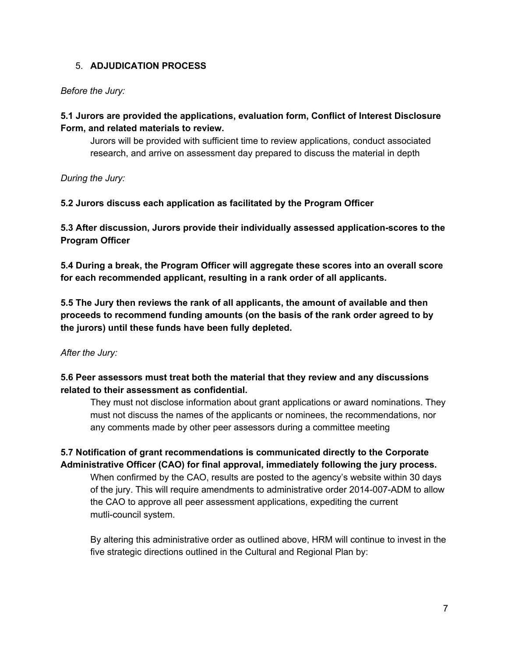# 5. **ADJUDICATION PROCESS**

## *Before the Jury:*

# **5.1 Jurors are provided the applications, evaluation form, Conflict of Interest Disclosure Form, and related materials to review.**

Jurors will be provided with sufficient time to review applications, conduct associated research, and arrive on assessment day prepared to discuss the material in depth

*During the Jury:*

**5.2 Jurors discuss each application as facilitated by the Program Officer**

**5.3 After discussion, Jurors provide their individually assessed application-scores to the Program Officer**

**5.4 During a break, the Program Officer will aggregate these scores into an overall score for each recommended applicant, resulting in a rank order of all applicants.**

**5.5 The Jury then reviews the rank of all applicants, the amount of available and then proceeds to recommend funding amounts (on the basis of the rank order agreed to by the jurors) until these funds have been fully depleted.**

## *After the Jury:*

# **5.6 Peer assessors must treat both the material that they review and any discussions related to their assessment as confidential.**

They must not disclose information about grant applications or award nominations. They must not discuss the names of the applicants or nominees, the recommendations, nor any comments made by other peer assessors during a committee meeting

# **5.7 Notification of grant recommendations is communicated directly to the Corporate Administrative Officer (CAO) for final approval, immediately following the jury process.**

When confirmed by the CAO, results are posted to the agency's website within 30 days of the jury. This will require amendments to administrative order 2014-007-ADM to allow the CAO to approve all peer assessment applications, expediting the current mutli-council system.

By altering this administrative order as outlined above, HRM will continue to invest in the five strategic directions outlined in the Cultural and Regional Plan by: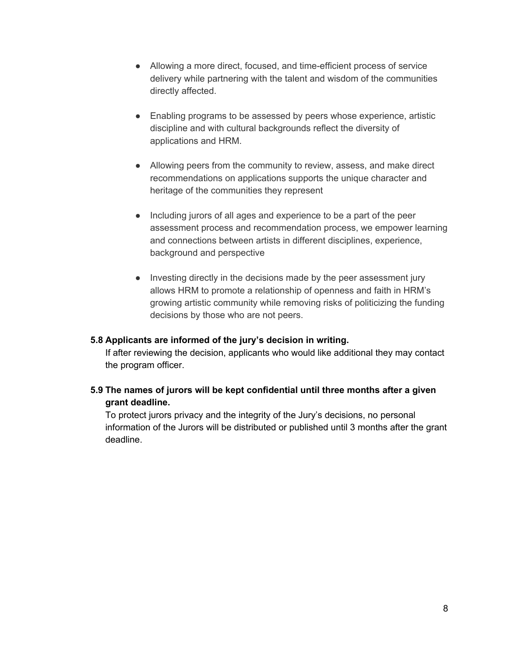- Allowing a more direct, focused, and time-efficient process of service delivery while partnering with the talent and wisdom of the communities directly affected.
- Enabling programs to be assessed by peers whose experience, artistic discipline and with cultural backgrounds reflect the diversity of applications and HRM.
- Allowing peers from the community to review, assess, and make direct recommendations on applications supports the unique character and heritage of the communities they represent
- Including jurors of all ages and experience to be a part of the peer assessment process and recommendation process, we empower learning and connections between artists in different disciplines, experience, background and perspective
- Investing directly in the decisions made by the peer assessment jury allows HRM to promote a relationship of openness and faith in HRM's growing artistic community while removing risks of politicizing the funding decisions by those who are not peers.

## **5.8 Applicants are informed of the jury's decision in writing.**

If after reviewing the decision, applicants who would like additional they may contact the program officer.

## **5.9 The names of jurors will be kept confidential until three months after a given grant deadline.**

To protect jurors privacy and the integrity of the Jury's decisions, no personal information of the Jurors will be distributed or published until 3 months after the grant deadline.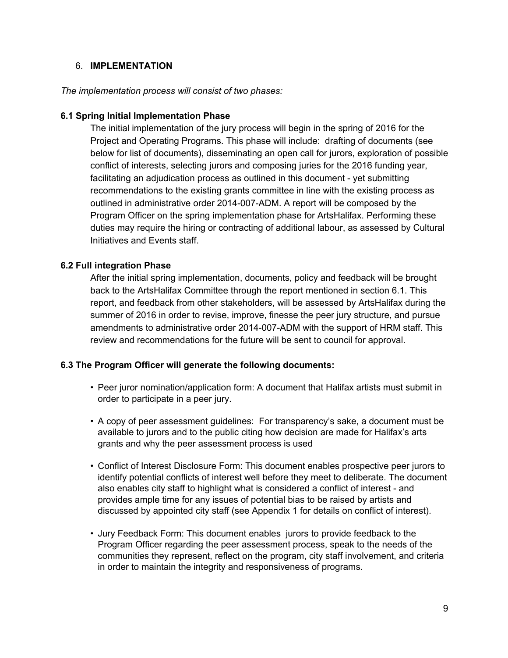## 6. **IMPLEMENTATION**

## *The implementation process will consist of two phases:*

### **6.1 Spring Initial Implementation Phase**

The initial implementation of the jury process will begin in the spring of 2016 for the Project and Operating Programs. This phase will include: drafting of documents (see below for list of documents), disseminating an open call for jurors, exploration of possible conflict of interests, selecting jurors and composing juries for the 2016 funding year, facilitating an adjudication process as outlined in this document - yet submitting recommendations to the existing grants committee in line with the existing process as outlined in administrative order 2014-007-ADM. A report will be composed by the Program Officer on the spring implementation phase for ArtsHalifax. Performing these duties may require the hiring or contracting of additional labour, as assessed by Cultural Initiatives and Events staff.

## **6.2 Full integration Phase**

After the initial spring implementation, documents, policy and feedback will be brought back to the ArtsHalifax Committee through the report mentioned in section 6.1. This report, and feedback from other stakeholders, will be assessed by ArtsHalifax during the summer of 2016 in order to revise, improve, finesse the peer jury structure, and pursue amendments to administrative order 2014-007-ADM with the support of HRM staff. This review and recommendations for the future will be sent to council for approval.

### **6.3 The Program Officer will generate the following documents:**

- Peer juror nomination/application form: A document that Halifax artists must submit in order to participate in a peer jury.
- A copy of peer assessment guidelines: For transparency's sake, a document must be available to jurors and to the public citing how decision are made for Halifax's arts grants and why the peer assessment process is used
- Conflict of Interest Disclosure Form: This document enables prospective peer jurors to identify potential conflicts of interest well before they meet to deliberate. The document also enables city staff to highlight what is considered a conflict of interest - and provides ample time for any issues of potential bias to be raised by artists and discussed by appointed city staff (see Appendix 1 for details on conflict of interest).
- Jury Feedback Form: This document enables jurors to provide feedback to the Program Officer regarding the peer assessment process, speak to the needs of the communities they represent, reflect on the program, city staff involvement, and criteria in order to maintain the integrity and responsiveness of programs.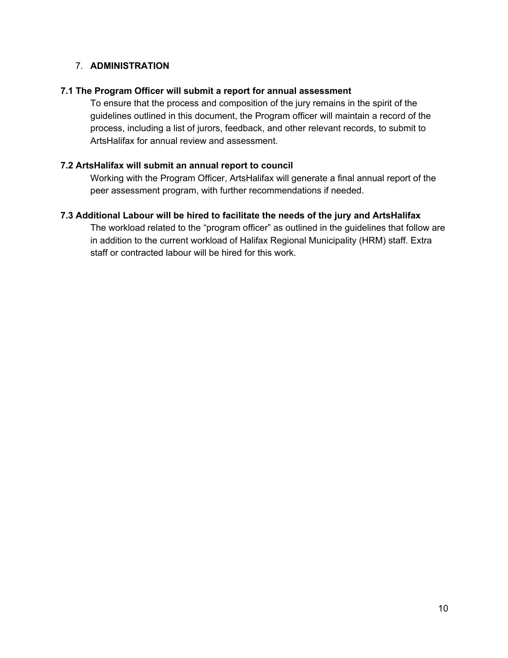# 7. **ADMINISTRATION**

## **7.1 The Program Officer will submit a report for annual assessment**

To ensure that the process and composition of the jury remains in the spirit of the guidelines outlined in this document, the Program officer will maintain a record of the process, including a list of jurors, feedback, and other relevant records, to submit to ArtsHalifax for annual review and assessment.

## **7.2 ArtsHalifax will submit an annual report to council**

Working with the Program Officer, ArtsHalifax will generate a final annual report of the peer assessment program, with further recommendations if needed.

## **7.3 Additional Labour will be hired to facilitate the needs of the jury and ArtsHalifax**

The workload related to the "program officer" as outlined in the guidelines that follow are in addition to the current workload of Halifax Regional Municipality (HRM) staff. Extra staff or contracted labour will be hired for this work.